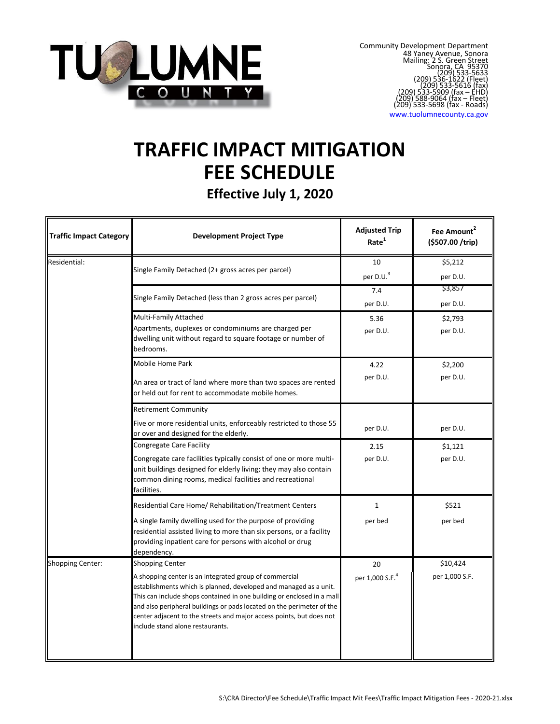

www.tuolumnecounty.ca.gov

# **TRAFFIC IMPACT MITIGATION FEE SCHEDULE**

**Effective July 1, 2020**

| <b>Traffic Impact Category</b> | <b>Development Project Type</b>                                                                                                                                                                                                                                                                                                                                                                               | <b>Adjusted Trip</b><br>Rate <sup>1</sup> | Fee Amount <sup>2</sup><br>(\$507.00 /trip) |
|--------------------------------|---------------------------------------------------------------------------------------------------------------------------------------------------------------------------------------------------------------------------------------------------------------------------------------------------------------------------------------------------------------------------------------------------------------|-------------------------------------------|---------------------------------------------|
| Residential:                   | Single Family Detached (2+ gross acres per parcel)                                                                                                                                                                                                                                                                                                                                                            | 10<br>per D.U. <sup>3</sup>               | \$5,212<br>per D.U.                         |
|                                | Single Family Detached (less than 2 gross acres per parcel)                                                                                                                                                                                                                                                                                                                                                   | 7.4<br>per D.U.                           | \$3,857<br>per D.U.                         |
|                                | Multi-Family Attached<br>Apartments, duplexes or condominiums are charged per<br>dwelling unit without regard to square footage or number of<br>bedrooms.                                                                                                                                                                                                                                                     | 5.36<br>per D.U.                          | \$2,793<br>per D.U.                         |
|                                | Mobile Home Park<br>An area or tract of land where more than two spaces are rented<br>or held out for rent to accommodate mobile homes.                                                                                                                                                                                                                                                                       | 4.22<br>per D.U.                          | \$2,200<br>per D.U.                         |
|                                | <b>Retirement Community</b><br>Five or more residential units, enforceably restricted to those 55<br>or over and designed for the elderly.                                                                                                                                                                                                                                                                    | per D.U.                                  | per D.U.                                    |
|                                | Congregate Care Facility<br>Congregate care facilities typically consist of one or more multi-<br>unit buildings designed for elderly living; they may also contain<br>common dining rooms, medical facilities and recreational<br>facilities.                                                                                                                                                                | 2.15<br>per D.U.                          | \$1,121<br>per D.U.                         |
|                                | Residential Care Home/ Rehabilitation/Treatment Centers<br>A single family dwelling used for the purpose of providing<br>residential assisted living to more than six persons, or a facility<br>providing inpatient care for persons with alcohol or drug<br>dependency.                                                                                                                                      | $\mathbf{1}$<br>per bed                   | \$521<br>per bed                            |
| <b>Shopping Center:</b>        | Shopping Center<br>A shopping center is an integrated group of commercial<br>establishments which is planned, developed and managed as a unit.<br>This can include shops contained in one building or enclosed in a mall<br>and also peripheral buildings or pads located on the perimeter of the<br>center adjacent to the streets and major access points, but does not<br>include stand alone restaurants. | 20<br>per 1,000 S.F. <sup>4</sup>         | \$10,424<br>per 1,000 S.F.                  |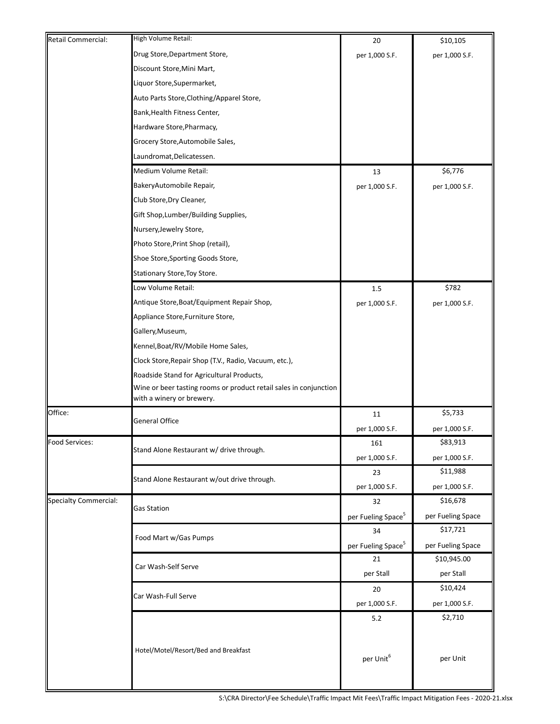| Retail Commercial:           | High Volume Retail:                                                                            | 20                             | \$10,105          |
|------------------------------|------------------------------------------------------------------------------------------------|--------------------------------|-------------------|
|                              | Drug Store, Department Store,                                                                  | per 1,000 S.F.                 | per 1,000 S.F.    |
|                              | Discount Store, Mini Mart,                                                                     |                                |                   |
|                              | Liquor Store, Supermarket,                                                                     |                                |                   |
|                              | Auto Parts Store, Clothing/Apparel Store,                                                      |                                |                   |
|                              | Bank, Health Fitness Center,                                                                   |                                |                   |
|                              | Hardware Store, Pharmacy,                                                                      |                                |                   |
|                              | Grocery Store, Automobile Sales,                                                               |                                |                   |
|                              | Laundromat, Delicatessen.                                                                      |                                |                   |
|                              | Medium Volume Retail:                                                                          | 13                             | \$6,776           |
|                              | BakeryAutomobile Repair,                                                                       | per 1,000 S.F.                 | per 1,000 S.F.    |
|                              | Club Store, Dry Cleaner,                                                                       |                                |                   |
|                              | Gift Shop, Lumber/Building Supplies,                                                           |                                |                   |
|                              | Nursery, Jewelry Store,                                                                        |                                |                   |
|                              | Photo Store, Print Shop (retail),                                                              |                                |                   |
|                              | Shoe Store, Sporting Goods Store,                                                              |                                |                   |
|                              | Stationary Store, Toy Store.                                                                   |                                |                   |
|                              | Low Volume Retail:                                                                             | 1.5                            | \$782             |
|                              | Antique Store, Boat/Equipment Repair Shop,                                                     | per 1,000 S.F.                 | per 1,000 S.F.    |
|                              | Appliance Store, Furniture Store,                                                              |                                |                   |
|                              | Gallery, Museum,                                                                               |                                |                   |
|                              | Kennel, Boat/RV/Mobile Home Sales,                                                             |                                |                   |
|                              | Clock Store, Repair Shop (T.V., Radio, Vacuum, etc.),                                          |                                |                   |
|                              | Roadside Stand for Agricultural Products,                                                      |                                |                   |
|                              | Wine or beer tasting rooms or product retail sales in conjunction<br>with a winery or brewery. |                                |                   |
| Office:                      | <b>General Office</b>                                                                          | 11                             | \$5,733           |
|                              |                                                                                                | per 1,000 S.F.                 | per 1,000 S.F.    |
| Food Services:               |                                                                                                | 161                            | \$83,913          |
|                              | Stand Alone Restaurant w/ drive through.                                                       | per 1,000 S.F.                 | per 1,000 S.F.    |
|                              |                                                                                                | 23                             | \$11,988          |
|                              | Stand Alone Restaurant w/out drive through.                                                    | per 1,000 S.F.                 | per 1,000 S.F.    |
| <b>Specialty Commercial:</b> |                                                                                                | 32                             | \$16,678          |
|                              | Gas Station                                                                                    | per Fueling Space <sup>5</sup> | per Fueling Space |
|                              |                                                                                                | 34                             | \$17,721          |
|                              | Food Mart w/Gas Pumps                                                                          | per Fueling Space <sup>5</sup> | per Fueling Space |
|                              |                                                                                                | 21                             | \$10,945.00       |
|                              | Car Wash-Self Serve                                                                            | per Stall                      | per Stall         |
|                              |                                                                                                | 20                             | \$10,424          |
|                              | Car Wash-Full Serve                                                                            | per 1,000 S.F.                 | per 1,000 S.F.    |
|                              |                                                                                                | 5.2                            | \$2,710           |
|                              |                                                                                                |                                |                   |
|                              | Hotel/Motel/Resort/Bed and Breakfast                                                           |                                |                   |
|                              |                                                                                                | per Unit <sup>6</sup>          | per Unit          |
|                              |                                                                                                |                                |                   |
|                              |                                                                                                |                                |                   |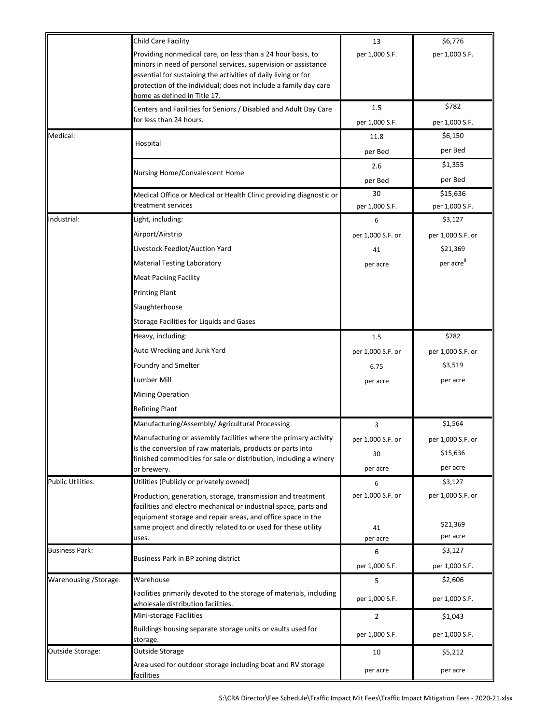|                          | Child Care Facility                                                                                                                                                                                                                                                                                 | 13                   | \$6,776                    |
|--------------------------|-----------------------------------------------------------------------------------------------------------------------------------------------------------------------------------------------------------------------------------------------------------------------------------------------------|----------------------|----------------------------|
|                          | Providing nonmedical care, on less than a 24 hour basis, to<br>minors in need of personal services, supervision or assistance<br>essential for sustaining the activities of daily living or for<br>protection of the individual; does not include a family day care<br>home as defined in Title 17. | per 1,000 S.F.       | per 1,000 S.F.             |
|                          | Centers and Facilities for Seniors / Disabled and Adult Day Care                                                                                                                                                                                                                                    | 1.5                  | \$782                      |
|                          | for less than 24 hours.                                                                                                                                                                                                                                                                             | per 1,000 S.F.       | per 1,000 S.F.             |
| Medical:                 |                                                                                                                                                                                                                                                                                                     | 11.8                 | \$6,150                    |
|                          | Hospital                                                                                                                                                                                                                                                                                            | per Bed              | per Bed                    |
|                          |                                                                                                                                                                                                                                                                                                     | 2.6                  | \$1,355                    |
|                          | Nursing Home/Convalescent Home                                                                                                                                                                                                                                                                      | per Bed              | per Bed                    |
|                          | Medical Office or Medical or Health Clinic providing diagnostic or<br>treatment services                                                                                                                                                                                                            | 30<br>per 1,000 S.F. | \$15,636<br>per 1,000 S.F. |
| Industrial:              | Light, including:                                                                                                                                                                                                                                                                                   | 6                    | \$3,127                    |
|                          | Airport/Airstrip                                                                                                                                                                                                                                                                                    | per 1,000 S.F. or    | per 1,000 S.F. or          |
|                          | Livestock Feedlot/Auction Yard                                                                                                                                                                                                                                                                      | 41                   | \$21,369                   |
|                          | Material Testing Laboratory                                                                                                                                                                                                                                                                         | per acre             | per acre <sup>8</sup>      |
|                          | <b>Meat Packing Facility</b>                                                                                                                                                                                                                                                                        |                      |                            |
|                          | <b>Printing Plant</b>                                                                                                                                                                                                                                                                               |                      |                            |
|                          | Slaughterhouse                                                                                                                                                                                                                                                                                      |                      |                            |
|                          | Storage Facilities for Liquids and Gases                                                                                                                                                                                                                                                            |                      |                            |
|                          | Heavy, including:                                                                                                                                                                                                                                                                                   | 1.5                  | \$782                      |
|                          | Auto Wrecking and Junk Yard                                                                                                                                                                                                                                                                         | per 1,000 S.F. or    | per 1,000 S.F. or          |
|                          | Foundry and Smelter                                                                                                                                                                                                                                                                                 | 6.75                 | \$3,519                    |
|                          | Lumber Mill                                                                                                                                                                                                                                                                                         | per acre             | per acre                   |
|                          | <b>Mining Operation</b>                                                                                                                                                                                                                                                                             |                      |                            |
|                          | <b>Refining Plant</b>                                                                                                                                                                                                                                                                               |                      |                            |
|                          | Manufacturing/Assembly/ Agricultural Processing                                                                                                                                                                                                                                                     | 3                    | \$1,564                    |
|                          | Manufacturing or assembly facilities where the primary activity                                                                                                                                                                                                                                     | per 1,000 S.F. or    | per 1,000 S.F. or          |
|                          | is the conversion of raw materials, products or parts into<br>finished commodities for sale or distribution, including a winery                                                                                                                                                                     | 30                   | \$15,636                   |
|                          | or brewery.                                                                                                                                                                                                                                                                                         | per acre             | per acre                   |
| <b>Public Utilities:</b> | Utilities (Publicly or privately owned)                                                                                                                                                                                                                                                             | 6                    | \$3,127                    |
|                          | Production, generation, storage, transmission and treatment<br>facilities and electro mechanical or industrial space, parts and<br>equipment storage and repair areas, and office space in the                                                                                                      | per 1,000 S.F. or    | per 1,000 S.F. or          |
|                          | same project and directly related to or used for these utility                                                                                                                                                                                                                                      | 41                   | \$21,369                   |
|                          | uses.                                                                                                                                                                                                                                                                                               | per acre             | per acre                   |
| <b>Business Park:</b>    | Business Park in BP zoning district                                                                                                                                                                                                                                                                 | 6<br>per 1,000 S.F.  | \$3,127<br>per 1,000 S.F.  |
| Warehousing / Storage:   | Warehouse                                                                                                                                                                                                                                                                                           | 5                    | \$2,606                    |
|                          | Facilities primarily devoted to the storage of materials, including<br>wholesale distribution facilities.                                                                                                                                                                                           | per 1,000 S.F.       | per 1,000 S.F.             |
|                          | Mini-storage Facilities                                                                                                                                                                                                                                                                             | $\overline{2}$       | \$1,043                    |
|                          | Buildings housing separate storage units or vaults used for<br>storage.                                                                                                                                                                                                                             | per 1,000 S.F.       | per 1,000 S.F.             |
| Outside Storage:         | Outside Storage                                                                                                                                                                                                                                                                                     | 10                   | \$5,212                    |
|                          | Area used for outdoor storage including boat and RV storage<br>facilities                                                                                                                                                                                                                           | per acre             | per acre                   |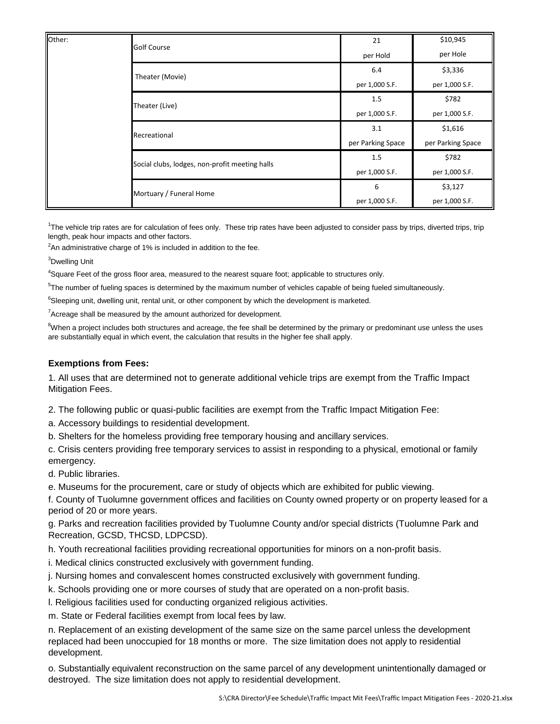| Other: | <b>Golf Course</b>                             | 21                | \$10,945          |
|--------|------------------------------------------------|-------------------|-------------------|
|        |                                                | per Hold          | per Hole          |
|        | Theater (Movie)                                | 6.4               | \$3,336           |
|        |                                                | per 1,000 S.F.    | per 1,000 S.F.    |
|        | Theater (Live)                                 | 1.5               | \$782             |
|        |                                                | per 1,000 S.F.    | per 1,000 S.F.    |
|        | Recreational                                   | 3.1               | \$1,616           |
|        |                                                | per Parking Space | per Parking Space |
|        | Social clubs, lodges, non-profit meeting halls | 1.5               | \$782             |
|        |                                                | per 1,000 S.F.    | per 1,000 S.F.    |
|        | Mortuary / Funeral Home                        | 6                 | \$3,127           |
|        |                                                | per 1,000 S.F.    | per 1,000 S.F.    |

<sup>1</sup>The vehicle trip rates are for calculation of fees only. These trip rates have been adjusted to consider pass by trips, diverted trips, trip length, peak hour impacts and other factors.

 $2$ An administrative charge of 1% is included in addition to the fee.

<sup>3</sup>Dwelling Unit

<sup>4</sup>Square Feet of the gross floor area, measured to the nearest square foot; applicable to structures only.

<sup>5</sup>The number of fueling spaces is determined by the maximum number of vehicles capable of being fueled simultaneously.

<sup>6</sup>Sleeping unit, dwelling unit, rental unit, or other component by which the development is marketed.

 $7$ Acreage shall be measured by the amount authorized for development.

 $8$ When a project includes both structures and acreage, the fee shall be determined by the primary or predominant use unless the uses are substantially equal in which event, the calculation that results in the higher fee shall apply.

#### **Exemptions from Fees:**

1. All uses that are determined not to generate additional vehicle trips are exempt from the Traffic Impact Mitigation Fees.

2. The following public or quasi-public facilities are exempt from the Traffic Impact Mitigation Fee:

a. Accessory buildings to residential development.

b. Shelters for the homeless providing free temporary housing and ancillary services.

c. Crisis centers providing free temporary services to assist in responding to a physical, emotional or family emergency.

d. Public libraries.

e. Museums for the procurement, care or study of objects which are exhibited for public viewing.

f. County of Tuolumne government offices and facilities on County owned property or on property leased for a period of 20 or more years.

g. Parks and recreation facilities provided by Tuolumne County and/or special districts (Tuolumne Park and Recreation, GCSD, THCSD, LDPCSD).

h. Youth recreational facilities providing recreational opportunities for minors on a non-profit basis.

i. Medical clinics constructed exclusively with government funding.

j. Nursing homes and convalescent homes constructed exclusively with government funding.

k. Schools providing one or more courses of study that are operated on a non-profit basis.

l. Religious facilities used for conducting organized religious activities.

m. State or Federal facilities exempt from local fees by law.

n. Replacement of an existing development of the same size on the same parcel unless the development replaced had been unoccupied for 18 months or more. The size limitation does not apply to residential development.

o. Substantially equivalent reconstruction on the same parcel of any development unintentionally damaged or destroyed. The size limitation does not apply to residential development.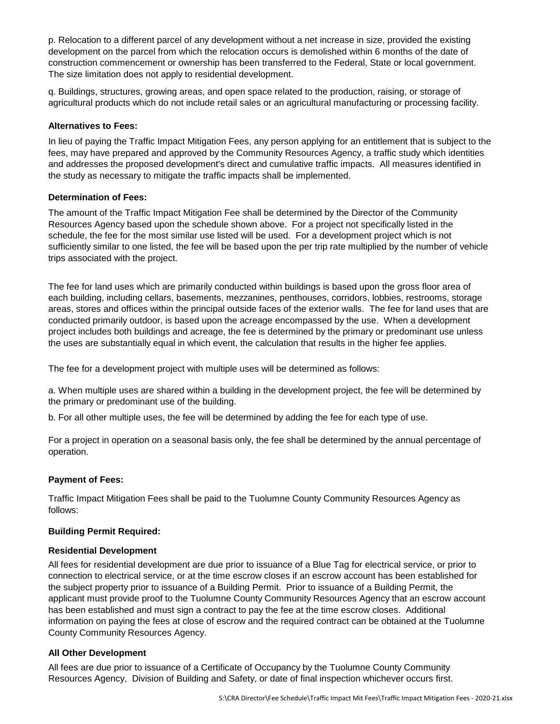p. Relocation to a different parcel of any development without a net increase in size, provided the existing development on the parcel from which the relocation occurs is demolished within 6 months of the date of construction commencement or ownership has been transferred to the Federal, State or local government. The size limitation does not apply to residential development.

q. Buildings, structures, growing areas, and open space related to the production, raising, or storage of agricultural products which do not include retail sales or an agricultural manufacturing or processing facility.

## **Alternatives to Fees:**

In lieu of paying the Traffic Impact Mitigation Fees, any person applying for an entitlement that is subject to the fees, may have prepared and approved by the Community Resources Agency, a traffic study which identities and addresses the proposed development's direct and cumulative traffic impacts. All measures identified in the study as necessary to mitigate the traffic impacts shall be implemented.

#### **Determination of Fees:**

The amount of the Traffic Impact Mitigation Fee shall be determined by the Director of the Community Resources Agency based upon the schedule shown above. For a project not specifically listed in the schedule, the fee for the most similar use listed will be used. For a development project which is not sufficiently similar to one listed, the fee will be based upon the per trip rate multiplied by the number of vehicle trips associated with the project.

The fee for land uses which are primarily conducted within buildings is based upon the gross floor area of each building, including cellars, basements, mezzanines, penthouses, corridors, lobbies, restrooms, storage areas, stores and offices within the principal outside faces of the exterior walls. The fee for land uses that are conducted primarily outdoor, is based upon the acreage encompassed by the use. When a development project includes both buildings and acreage, the fee is determined by the primary or predominant use unless the uses are substantially equal in which event, the calculation that results in the higher fee applies.

The fee for a development project with multiple uses will be determined as follows:

a. When multiple uses are shared within a building in the development project, the fee will be determined by the primary or predominant use of the building.

b. For all other multiple uses, the fee will be determined by adding the fee for each type of use.

For a project in operation on a seasonal basis only, the fee shall be determined by the annual percentage of operation.

# **Payment of Fees:**

Traffic Impact Mitigation Fees shall be paid to the Tuolumne County Community Resources Agency as follows:

# **Building Permit Required:**

#### **Residential Development**

All fees for residential development are due prior to issuance of a Blue Tag for electrical service, or prior to connection to electrical service, or at the time escrow closes if an escrow account has been established for the subject property prior to issuance of a Building Permit. Prior to issuance of a Building Permit, the applicant must provide proof to the Tuolumne County Community Resources Agency that an escrow account has been established and must sign a contract to pay the fee at the time escrow closes. Additional information on paying the fees at close of escrow and the required contract can be obtained at the Tuolumne County Community Resources Agency.

# **All Other Development**

All fees are due prior to issuance of a Certificate of Occupancy by the Tuolumne County Community Resources Agency, Division of Building and Safety, or date of final inspection whichever occurs first.